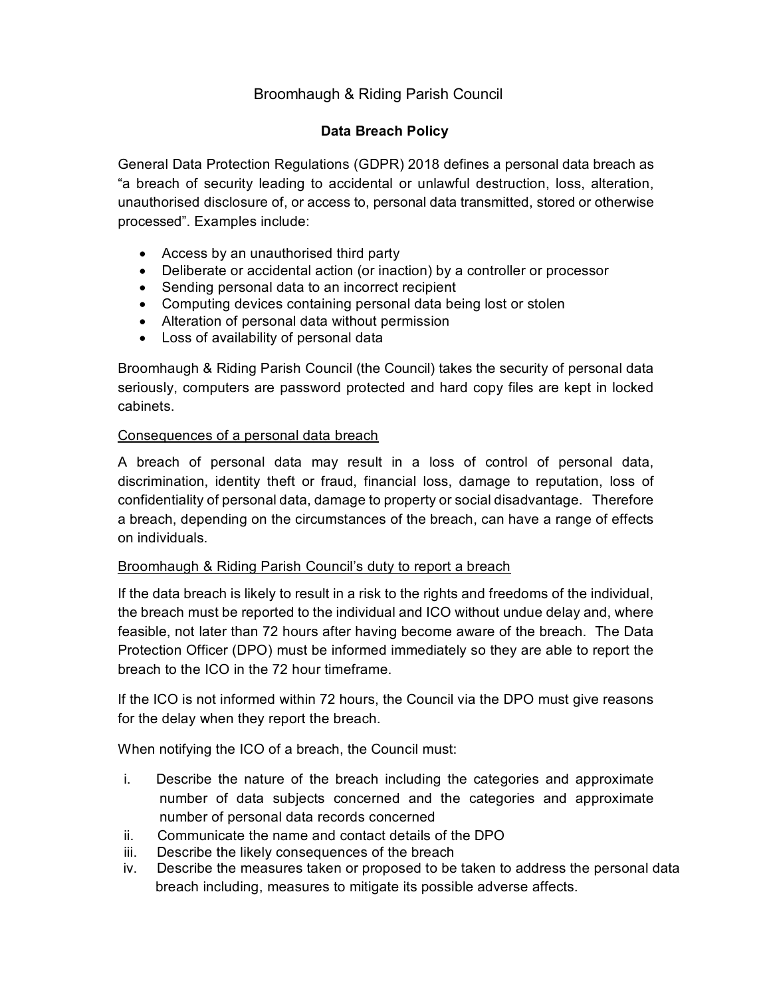# Broomhaugh & Riding Parish Council

## **Data Breach Policy**

General Data Protection Regulations (GDPR) 2018 defines a personal data breach as "a breach of security leading to accidental or unlawful destruction, loss, alteration, unauthorised disclosure of, or access to, personal data transmitted, stored or otherwise processed". Examples include:

- Access by an unauthorised third party
- Deliberate or accidental action (or inaction) by a controller or processor
- Sending personal data to an incorrect recipient
- Computing devices containing personal data being lost or stolen
- Alteration of personal data without permission
- Loss of availability of personal data

Broomhaugh & Riding Parish Council (the Council) takes the security of personal data seriously, computers are password protected and hard copy files are kept in locked cabinets.

## Consequences of a personal data breach

A breach of personal data may result in a loss of control of personal data, discrimination, identity theft or fraud, financial loss, damage to reputation, loss of confidentiality of personal data, damage to property or social disadvantage. Therefore a breach, depending on the circumstances of the breach, can have a range of effects on individuals.

### Broomhaugh & Riding Parish Council's duty to report a breach

If the data breach is likely to result in a risk to the rights and freedoms of the individual, the breach must be reported to the individual and ICO without undue delay and, where feasible, not later than 72 hours after having become aware of the breach. The Data Protection Officer (DPO) must be informed immediately so they are able to report the breach to the ICO in the 72 hour timeframe.

If the ICO is not informed within 72 hours, the Council via the DPO must give reasons for the delay when they report the breach.

When notifying the ICO of a breach, the Council must:

- i. Describe the nature of the breach including the categories and approximate number of data subjects concerned and the categories and approximate number of personal data records concerned
- ii. Communicate the name and contact details of the DPO
- iii. Describe the likely consequences of the breach
- iv. Describe the measures taken or proposed to be taken to address the personal data breach including, measures to mitigate its possible adverse affects.